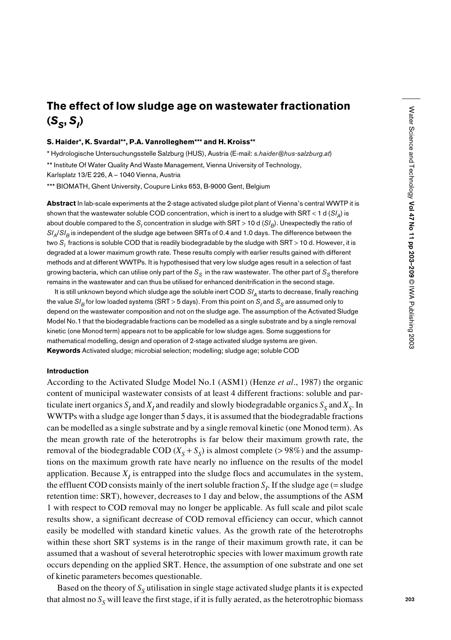# The effect of low sludge age on wastewater fractionation (*SS*, *SI* )

### S. Haider\*, K. Svardal\*\*, P.A. Vanrolleghem\*\*\* and H. Kroiss\*\*

\* Hydrologische Untersuchungsstelle Salzburg (HUS), Austria (E-mail: *s.haider@hus-salzburg.at*)

\*\* Institute Of Water Quality And Waste Management, Vienna University of Technology,

Karlsplatz 13/E 226, A – 1040 Vienna, Austria

\*\*\* BIOMATH, Ghent University, Coupure Links 653, B-9000 Gent, Belgium

Abstract In lab-scale experiments at the 2-stage activated sludge pilot plant of Vienna's central WWTP it is shown that the wastewater soluble COD concentration, which is inert to a sludge with SRT < 1 d (*SIA*) is about double compared to the S<sub>I</sub> concentration in sludge with SRT > 10 d (SI<sub>R</sub>). Unexpectedly the ratio of *SI<sub>A</sub>/SI<sub>B</sub>* is independent of the sludge age between SRTs of 0.4 and 1.0 days. The difference between the two S<sub>i</sub> fractions is soluble COD that is readily biodegradable by the sludge with SRT > 10 d. However, it is degraded at a lower maximum growth rate. These results comply with earlier results gained with different methods and at different WWTPs. It is hypothesised that very low sludge ages result in a selection of fast growing bacteria, which can utilise only part of the  $S_S$  in the raw wastewater. The other part of  $S_S$  therefore remains in the wastewater and can thus be utilised for enhanced denitrification in the second stage.

It is still unknown beyond which sludge age the soluble inert COD  $S/I_A$  starts to decrease, finally reaching the value  $SI<sub>B</sub>$  for low loaded systems (SRT > 5 days). From this point on  $S<sub>i</sub>$  and  $S<sub>S</sub>$  are assumed only to depend on the wastewater composition and not on the sludge age. The assumption of the Activated Sludge Model No.1 that the biodegradable fractions can be modelled as a single substrate and by a single removal kinetic (one Monod term) appears not to be applicable for low sludge ages. Some suggestions for mathematical modelling, design and operation of 2-stage activated sludge systems are given. Keywords Activated sludge; microbial selection; modelling; sludge age; soluble COD

#### Introduction

According to the Activated Sludge Model No.1 (ASM1) (Henze *et al*., 1987) the organic content of municipal wastewater consists of at least 4 different fractions: soluble and particulate inert organics  $S<sub>I</sub>$  and  $X<sub>I</sub>$  and readily and slowly biodegradable organics  $S<sub>S</sub>$  and  $X<sub>S</sub>$ . In WWTPs with a sludge age longer than 5 days, it is assumed that the biodegradable fractions can be modelled as a single substrate and by a single removal kinetic (one Monod term). As the mean growth rate of the heterotrophs is far below their maximum growth rate, the removal of the biodegradable COD  $(X_S + S_S)$  is almost complete (>98%) and the assumptions on the maximum growth rate have nearly no influence on the results of the model application. Because  $X<sub>I</sub>$  is entrapped into the sludge flocs and accumulates in the system, the effluent COD consists mainly of the inert soluble fraction  $S_I$ . If the sludge age (= sludge retention time: SRT), however, decreases to 1 day and below, the assumptions of the ASM 1 with respect to COD removal may no longer be applicable. As full scale and pilot scale results show, a significant decrease of COD removal efficiency can occur, which cannot easily be modelled with standard kinetic values. As the growth rate of the heterotrophs within these short SRT systems is in the range of their maximum growth rate, it can be assumed that a washout of several heterotrophic species with lower maximum growth rate occurs depending on the applied SRT. Hence, the assumption of one substrate and one set of kinetic parameters becomes questionable.

Based on the theory of  $S<sub>S</sub>$  utilisation in single stage activated sludge plants it is expected that almost no  $S_S$  will leave the first stage, if it is fully aerated, as the heterotrophic biomass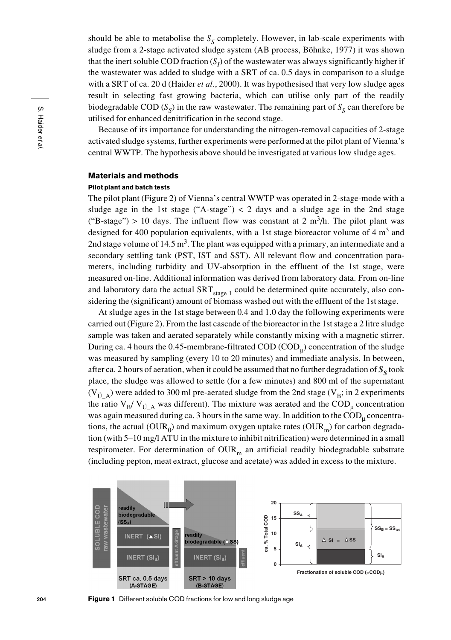should be able to metabolise the  $S<sub>s</sub>$  completely. However, in lab-scale experiments with sludge from a 2-stage activated sludge system (AB process, Böhnke, 1977) it was shown that the inert soluble COD fraction  $(S<sub>I</sub>)$  of the wastewater was always significantly higher if the wastewater was added to sludge with a SRT of ca. 0.5 days in comparison to a sludge with a SRT of ca. 20 d (Haider *et al*., 2000). It was hypothesised that very low sludge ages result in selecting fast growing bacteria, which can utilise only part of the readily biodegradable COD  $(S<sub>c</sub>)$  in the raw wastewater. The remaining part of  $S<sub>c</sub>$  can therefore be utilised for enhanced denitrification in the second stage.

Because of its importance for understanding the nitrogen-removal capacities of 2-stage activated sludge systems, further experiments were performed at the pilot plant of Vienna's central WWTP. The hypothesis above should be investigated at various low sludge ages.

# Materials and methods

### Pilot plant and batch tests

The pilot plant (Figure 2) of Vienna's central WWTP was operated in 2-stage-mode with a sludge age in the 1st stage ("A-stage")  $<$  2 days and a sludge age in the 2nd stage ("B-stage") > 10 days. The influent flow was constant at 2 m<sup>3</sup>/h. The pilot plant was designed for 400 population equivalents, with a 1st stage bioreactor volume of 4  $m<sup>3</sup>$  and 2nd stage volume of 14.5 m<sup>3</sup>. The plant was equipped with a primary, an intermediate and a secondary settling tank (PST, IST and SST). All relevant flow and concentration parameters, including turbidity and UV-absorption in the effluent of the 1st stage, were measured on-line. Additional information was derived from laboratory data. From on-line and laboratory data the actual  $SRT_{stage 1}$  could be determined quite accurately, also considering the (significant) amount of biomass washed out with the effluent of the 1st stage.

At sludge ages in the 1st stage between 0.4 and 1.0 day the following experiments were carried out (Figure 2). From the last cascade of the bioreactor in the 1st stage a 2 litre sludge sample was taken and aerated separately while constantly mixing with a magnetic stirrer. During ca. 4 hours the 0.45-membrane-filtrated COD (COD<sub>u</sub>) concentration of the sludge was measured by sampling (every 10 to 20 minutes) and immediate analysis. In between, after ca. 2 hours of aeration, when it could be assumed that no further degradation of  $S<sub>S</sub>$  took place, the sludge was allowed to settle (for a few minutes) and 800 ml of the supernatant (V<sub>ULA</sub>) were added to 300 ml pre-aerated sludge from the 2nd stage (V<sub>B</sub>; in 2 experiments the ratio  $V_B/V_{\tilde{U}_A}$  was different). The mixture was aerated and the COD<sub>u</sub> concentration was again measured during ca. 3 hours in the same way. In addition to the  $\text{COD}_u$  concentrations, the actual ( $\text{OUR}_0$ ) and maximum oxygen uptake rates ( $\text{OUR}_m$ ) for carbon degradation (with 5–10 mg/l ATU in the mixture to inhibit nitrification) were determined in a small respirometer. For determination of  $\text{OUR}_m$  an artificial readily biodegradable substrate (including pepton, meat extract, glucose and acetate) was added in excess to the mixture.



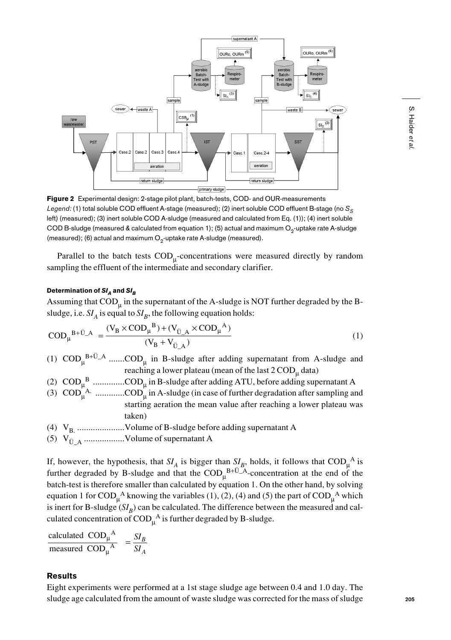![](_page_2_Figure_1.jpeg)

Figure 2 Experimental design: 2-stage pilot plant, batch-tests, COD- and OUR-measurements *Legend:* (1) total soluble COD effluent A-stage (measured); (2) inert soluble COD effluent B-stage (no S<sub>S</sub> left) (measured); (3) inert soluble COD A-sludge (measured and calculated from Eq. (1)); (4) inert soluble COD B-sludge (measured & calculated from equation 1); (5) actual and maximum  $O<sub>2</sub>$ -uptake rate A-sludge (measured); (6) actual and maximum  $O<sub>2</sub>$ -uptake rate A-sludge (measured).

Parallel to the batch tests  $\text{COD}_{\text{u}}$ -concentrations were measured directly by random sampling the effluent of the intermediate and secondary clarifier.

# Determination of  $SI_A$  and  $SI_B$

Assuming that  $\text{COD}_u$  in the supernatant of the A-sludge is NOT further degraded by the Bsludge, i.e.  $SI_A$  is equal to  $SI_B$ , the following equation holds:

$$
COD_{\mu}^{B+\ddot{U}_{-A}} = \frac{(V_B \times COD_{\mu}^{B}) + (V_{\ddot{U}_{-A}} \times COD_{\mu}^{A})}{(V_B + V_{\ddot{U}_{-A}})}
$$
(1)

(1)  $\text{COD}_{\mu}^{B+U_A}$  ....... $\text{COD}_{\mu}$  in B-sludge after adding supernatant from A-sludge and reaching a lower plateau (mean of the last 2  $\mathrm{COD}_\mu$  data)

- (2)  $\text{COD}_{\mu}^{\text{B}}$  ..............COD<sub> $\mu$ </sub> in B-sludge after adding ATU, before adding supernatant A
- (3)  $\text{COD}_{\mu}^{\text{A}}$  .............COD<sub> $\mu$ </sub> in A-sludge (in case of further degradation after sampling and starting aeration the mean value after reaching a lower plateau was taken)
- (4) VB. .....................Volume of B-sludge before adding supernatant A
- (5) VÜ\_A ..................Volume of supernatant A

If, however, the hypothesis, that  $SI_A$  is bigger than  $SI_B$ , holds, it follows that  $\text{COD}_{\mu}^{\quad A}$  is further degraded by B-sludge and that the  $\text{COD}_{\mu}^{\text{B+U-A}}$ -concentration at the end of the batch-test is therefore smaller than calculated by equation 1. On the other hand, by solving equation 1 for  $\text{COD}_{\mu}^{\text{A}}$  knowing the variables (1), (2), (4) and (5) the part of  $\text{COD}_{\mu}^{\text{A}}$  which is inert for B-sludge  $(SI_B)$  can be calculated. The difference between the measured and calculated concentration of  $\mathrm{COD}_{\mu}^{A}$  is further degraded by B-sludge.

calculated  $\overline{COD_{\mu}}^{A}$ <br>measured  $\overline{COD_{\mu}}^{A}$ A A µ µ  $=\frac{SI}{SI}$ *B A*

# Results

Eight experiments were performed at a 1st stage sludge age between 0.4 and 1.0 day. The sludge age calculated from the amount of waste sludge was corrected for the mass of sludge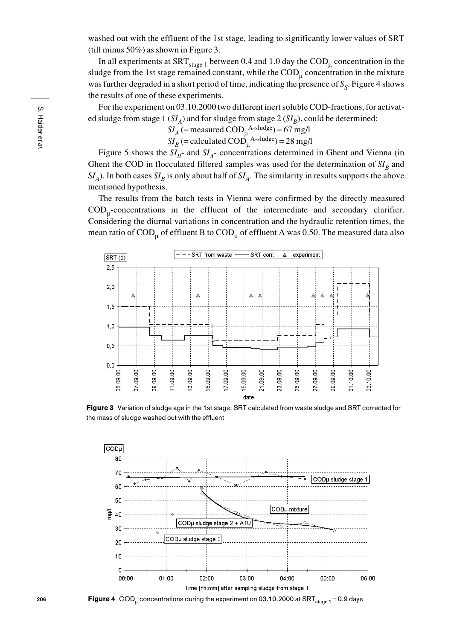washed out with the effluent of the 1st stage, leading to significantly lower values of SRT (till minus 50%) as shown in Figure 3.

In all experiments at  $SRT_{stage 1}$  between 0.4 and 1.0 day the  $\text{COD}_\mu$  concentration in the sludge from the 1st stage remained constant, while the  $\text{COD}_\mu$  concentration in the mixture was further degraded in a short period of time, indicating the presence of  $S<sub>s</sub>$ . Figure 4 shows the results of one of these experiments.

For the experiment on 03.10.2000 two different inert soluble COD-fractions, for activated sludge from stage 1 ( $SI_A$ ) and for sludge from stage 2 ( $SI_B$ ), could be determined:

> $SI_A$  (= measured  $\text{COD}_{\mu}^{\text{A-sludge}}$ ) = 67 mg/l  $SI_B$  (= calculated  $\text{COD}_{\mu}^{\text{A-sludge}}$ ) = 28 mg/l

Figure 5 shows the  $SI_{B}$ - and  $SI_{A}$ - concentrations determined in Ghent and Vienna (in Ghent the COD in flocculated filtered samples was used for the determination of  $SI<sub>B</sub>$  and  $SI_A$ ). In both cases  $SI_B$  is only about half of  $SI_A$ . The similarity in results supports the above mentioned hypothesis.

The results from the batch tests in Vienna were confirmed by the directly measured CODµ-concentrations in the effluent of the intermediate and secondary clarifier. Considering the diurnal variations in concentration and the hydraulic retention times, the mean ratio of  $\text{COD}_\text{u}$  of effluent B to  $\text{COD}_\text{u}$  of effluent A was 0.50. The measured data also

![](_page_3_Figure_6.jpeg)

Figure 3 Variation of sludge age in the 1st stage: SRT calculated from waste sludge and SRT corrected for the mass of sludge washed out with the effluent

![](_page_3_Figure_8.jpeg)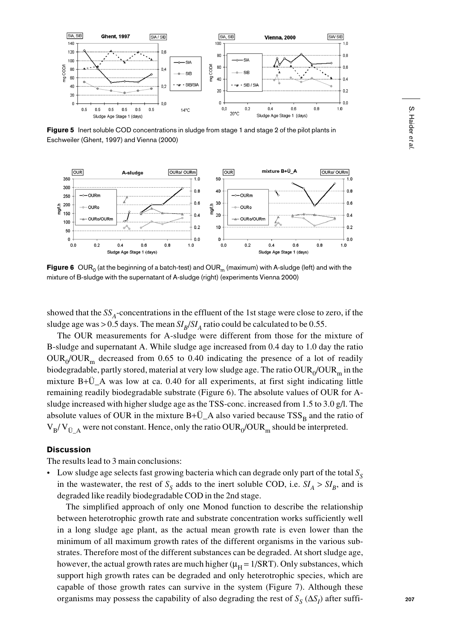![](_page_4_Figure_0.jpeg)

Figure 5 Inert soluble COD concentrations in sludge from stage 1 and stage 2 of the pilot plants in Eschweiler (Ghent, 1997) and Vienna (2000)

![](_page_4_Figure_2.jpeg)

Figure 6 OUR<sub>0</sub> (at the beginning of a batch-test) and OUR<sub>m</sub> (maximum) with A-sludge (left) and with the mixture of B-sludge with the supernatant of A-sludge (right) (experiments Vienna 2000)

showed that the  $SS_A$ -concentrations in the effluent of the 1st stage were close to zero, if the sludge age was > 0.5 days. The mean  $SI_B/SI_A$  ratio could be calculated to be 0.55.

The OUR measurements for A-sludge were different from those for the mixture of B-sludge and supernatant A. While sludge age increased from 0.4 day to 1.0 day the ratio  $\text{OUR}_0/\text{OUR}_m$  decreased from 0.65 to 0.40 indicating the presence of a lot of readily biodegradable, partly stored, material at very low sludge age. The ratio  $\text{OUR}_0/\text{OUR}_m$  in the mixture B+Ü\_A was low at ca. 0.40 for all experiments, at first sight indicating little remaining readily biodegradable substrate (Figure 6). The absolute values of OUR for Asludge increased with higher sludge age as the TSS-conc. increased from 1.5 to 3.0 g/l. The absolute values of OUR in the mixture  $B+\ddot{U}_A$  also varied because  $TSS_B$  and the ratio of  $V_B/V_{\text{II-A}}$  were not constant. Hence, only the ratio OUR<sub>0</sub>/OUR<sub>m</sub> should be interpreted.

### **Discussion**

The results lead to 3 main conclusions:

• Low sludge age selects fast growing bacteria which can degrade only part of the total  $S<sub>S</sub>$ in the wastewater, the rest of  $S_S$  adds to the inert soluble COD, i.e.  $SI_A > SI_B$ , and is degraded like readily biodegradable COD in the 2nd stage.

The simplified approach of only one Monod function to describe the relationship between heterotrophic growth rate and substrate concentration works sufficiently well in a long sludge age plant, as the actual mean growth rate is even lower than the minimum of all maximum growth rates of the different organisms in the various substrates. Therefore most of the different substances can be degraded. At short sludge age, however, the actual growth rates are much higher ( $\mu_H$  = 1/SRT). Only substances, which support high growth rates can be degraded and only heterotrophic species, which are capable of those growth rates can survive in the system (Figure 7). Although these organisms may possess the capability of also degrading the rest of *S<sub>S</sub>* (Δ*S<sub>I</sub>*) after suffi-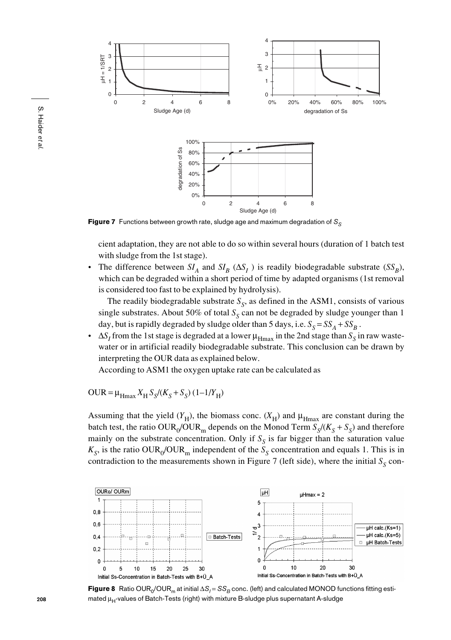![](_page_5_Figure_0.jpeg)

Figure 7 Functions between growth rate, sludge age and maximum degradation of S<sub>S</sub>

cient adaptation, they are not able to do so within several hours (duration of 1 batch test with sludge from the 1st stage).

• The difference between  $SI_A$  and  $SI_B$  ( $\Delta S_I$ ) is readily biodegradable substrate ( $SS_B$ ), which can be degraded within a short period of time by adapted organisms (1st removal is considered too fast to be explained by hydrolysis).

The readily biodegradable substrate  $S_{\rm S}$ , as defined in the ASM1, consists of various single substrates. About 50% of total  $S<sub>s</sub>$  can not be degraded by sludge younger than 1 day, but is rapidly degraded by sludge older than 5 days, i.e.  $S_S = SS_A + SS_B$ .

•  $\Delta S_I$  from the 1st stage is degraded at a lower  $\mu_{Hmax}$  in the 2nd stage than  $S_S$  in raw wastewater or in artificial readily biodegradable substrate. This conclusion can be drawn by interpreting the OUR data as explained below.

According to ASM1 the oxygen uptake rate can be calculated as

 $\text{OUR} = \mu_{\text{H} \text{max}} X_{\text{H}} S_{\text{S}} / (K_{\text{S}} + S_{\text{S}}) (1 - 1 / Y_{\text{H}})$ 

Assuming that the yield  $(Y_H)$ , the biomass conc.  $(X_H)$  and  $\mu_{Hmax}$  are constant during the batch test, the ratio OUR<sub>0</sub>/OUR<sub>m</sub> depends on the Monod Term  $S_S/(K_S + S_S)$  and therefore mainly on the substrate concentration. Only if  $S<sub>s</sub>$  is far bigger than the saturation value  $K_S$ , is the ratio OUR<sub>0</sub>/OUR<sub>m</sub> independent of the  $S_S$  concentration and equals 1. This is in contradiction to the measurements shown in Figure 7 (left side), where the initial  $S_S$  con-

![](_page_5_Figure_9.jpeg)

**Figure 8** Ratio OUR<sub>0</sub>/OUR<sub>m</sub> at initial  $\Delta S_I = SS_B$  conc. (left) and calculated MONOD functions fitting estimated  $\mu_H$ -values of Batch-Tests (right) with mixture B-sludge plus supernatant A-sludge